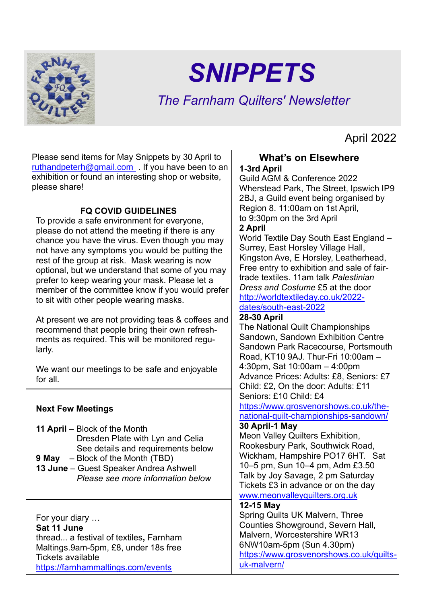

# *SNIPPETS*

## *The Farnham Quilters' Newsletter*

April 2022

Please send items for May Snippets by 30 April to [ruthandpeterh@gmail.com](mailto:ruthandpeterh@gmail.com) . If you have been to an exhibition or found an interesting shop or website, please share!

#### **FQ COVID GUIDELINES**

To provide a safe environment for everyone, please do not attend the meeting if there is any chance you have the virus. Even though you may not have any symptoms you would be putting the rest of the group at risk. Mask wearing is now optional, but we understand that some of you may prefer to keep wearing your mask. Please let a member of the committee know if you would prefer to sit with other people wearing masks.

At present we are not providing teas & coffees and recommend that people bring their own refreshments as required. This will be monitored regularly.

We want our meetings to be safe and enjoyable for all.

#### **Next Few Meetings**

- **11 April** Block of the Month Dresden Plate with Lyn and Celia See details and requirements below
- **9 May** Block of the Month (TBD) **13 June** – Guest Speaker Andrea Ashwell *Please see more information below*

For your diary … **Sat 11 June** thread... a festival of textiles**,** Farnham Maltings.9am-5pm, £8, under 18s free Tickets available <https://farnhammaltings.com/events>

#### **What's on Elsewhere 1-3rd April**

Guild AGM & Conference 2022 Wherstead Park, The Street, Ipswich IP9 2BJ, a Guild event being organised by Region 8. 11:00am on 1st April, to 9:30pm on the 3rd April

#### **2 April**

World Textile Day South East England – Surrey, East Horsley Village Hall, Kingston Ave, E Horsley, Leatherhead, Free entry to exhibition and sale of fairtrade textiles. 11am talk *Palestinian Dress and Costume* £5 at the door [http://worldtextileday.co.uk/2022-](http://worldtextileday.co.uk/2022-dates/south-east-2022)

#### [dates/south-east-2022](http://worldtextileday.co.uk/2022-dates/south-east-2022)

#### **28-30 April**

The National Quilt Championships Sandown, Sandown Exhibition Centre Sandown Park Racecourse, Portsmouth Road, KT10 9AJ. Thur-Fri 10:00am – 4:30pm, Sat 10:00am – 4:00pm Advance Prices: Adults: £8, Seniors: £7 Child: £2, On the door: Adults: £11 Seniors: £10 Child: £4

[https://www.grosvenorshows.co.uk/the](https://www.grosvenorshows.co.uk/the-national-quilt-championships-sandown/)[national-quilt-championships-sandown/](https://www.grosvenorshows.co.uk/the-national-quilt-championships-sandown/)

#### **30 April-1 May**

Meon Valley Quilters Exhibition, Rookesbury Park, Southwick Road, Wickham, Hampshire PO17 6HT. Sat 10–5 pm, Sun 10–4 pm, Adm £3.50 Talk by Joy Savage, 2 pm Saturday Tickets £3 in advance or on the day [www.meonvalleyquilters.org.uk](http://www.meonvalleyquilters.org.uk/)

#### **12-15 May**

Spring Quilts UK Malvern, Three Counties Showground, Severn Hall, Malvern, Worcestershire WR13 6NW10am-5pm (Sun 4.30pm) [https://www.grosvenorshows.co.uk/quilts](https://www.grosvenorshows.co.uk/quilts-uk-malvern/)[uk-malvern/](https://www.grosvenorshows.co.uk/quilts-uk-malvern/)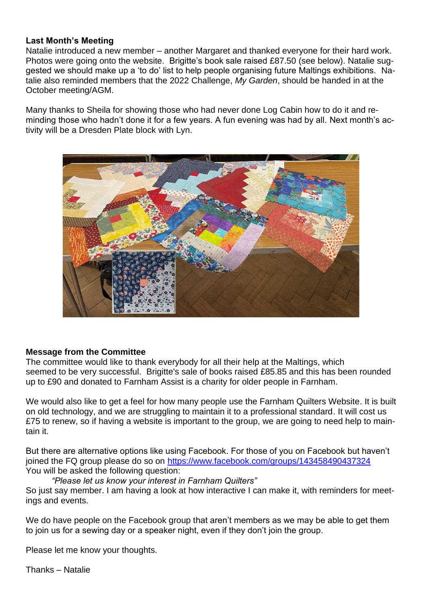#### **Last Month's Meeting**

Natalie introduced a new member – another Margaret and thanked everyone for their hard work. Photos were going onto the website. Brigitte's book sale raised £87.50 (see below). Natalie suggested we should make up a 'to do' list to help people organising future Maltings exhibitions. Natalie also reminded members that the 2022 Challenge, *My Garden*, should be handed in at the October meeting/AGM.

Many thanks to Sheila for showing those who had never done Log Cabin how to do it and reminding those who hadn't done it for a few years. A fun evening was had by all. Next month's activity will be a Dresden Plate block with Lyn.



#### **Message from the Committee**

The committee would like to thank everybody for all their help at the Maltings, which seemed to be very successful. Brigitte's sale of books raised £85.85 and this has been rounded up to £90 and donated to Farnham Assist is a charity for older people in Farnham.

We would also like to get a feel for how many people use the Farnham Quilters Website. It is built on old technology, and we are struggling to maintain it to a professional standard. It will cost us £75 to renew, so if having a website is important to the group, we are going to need help to maintain it.

But there are alternative options like using Facebook. For those of you on Facebook but haven't joined the FQ group please do so on<https://www.facebook.com/groups/143458490437324> You will be asked the following question:

#### *"Please let us know your interest in Farnham Quilters"*

So just say member. I am having a look at how interactive I can make it, with reminders for meetings and events.

We do have people on the Facebook group that aren't members as we may be able to get them to join us for a sewing day or a speaker night, even if they don't join the group.

Please let me know your thoughts.

Thanks – Natalie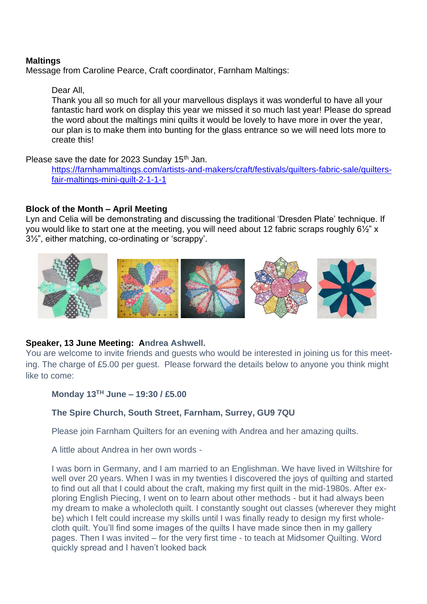#### **Maltings**

Message from Caroline Pearce, Craft coordinator, Farnham Maltings:

#### Dear All,

Thank you all so much for all your marvellous displays it was wonderful to have all your fantastic hard work on display this year we missed it so much last year! Please do spread the word about the maltings mini quilts it would be lovely to have more in over the year, our plan is to make them into bunting for the glass entrance so we will need lots more to create this!

Please save the date for 2023 Sunday 15<sup>th</sup> Jan.

[https://farnhammaltings.com/artists-and-makers/craft/festivals/quilters-fabric-sale/quilters](https://farnhammaltings.com/artists-and-makers/craft/festivals/quilters-fabric-sale/quilters-fair-maltings-mini-quilt-2-1-1-1)[fair-maltings-mini-quilt-2-1-1-1](https://farnhammaltings.com/artists-and-makers/craft/festivals/quilters-fabric-sale/quilters-fair-maltings-mini-quilt-2-1-1-1)

#### **Block of the Month – April Meeting**

Lyn and Celia will be demonstrating and discussing the traditional 'Dresden Plate' technique. If you would like to start one at the meeting, you will need about 12 fabric scraps roughly 6½" x 3½", either matching, co-ordinating or 'scrappy'.



#### **Speaker, 13 June Meeting: Andrea Ashwell.**

You are welcome to invite friends and guests who would be interested in joining us for this meeting. The charge of £5.00 per guest. Please forward the details below to anyone you think might like to come:

#### **Monday 13TH June – 19:30 / £5.00**

#### **The Spire Church, South Street, Farnham, Surrey, GU9 7QU**

Please join Farnham Quilters for an evening with Andrea and her amazing quilts.

A little about Andrea in her own words -

I was born in Germany, and I am married to an Englishman. We have lived in Wiltshire for well over 20 years. When I was in my twenties I discovered the joys of quilting and started to find out all that I could about the craft, making my first quilt in the mid-1980s. After exploring English Piecing, I went on to learn about other methods - but it had always been my dream to make a wholecloth quilt. I constantly sought out classes (wherever they might be) which I felt could increase my skills until I was finally ready to design my first wholecloth quilt. You'll find some images of the quilts I have made since then in my gallery pages. Then I was invited – for the very first time - to teach at Midsomer Quilting. Word quickly spread and I haven't looked back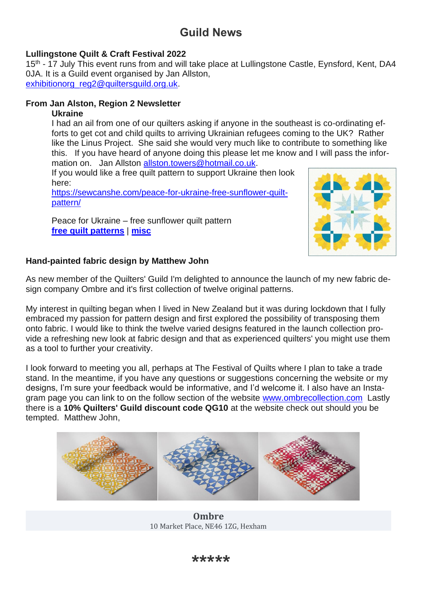### **Guild News**

#### **Lullingstone Quilt & Craft Festival 2022**

15<sup>th</sup> - 17 July This event runs from and will take place at Lullingstone Castle, Eynsford, Kent, DA4 0JA. It is a Guild event organised by Jan Allston, [exhibitionorg\\_reg2@quiltersguild.org.uk.](mailto:exhibitionorg_reg2@quiltersguild.org.uk)

#### **From Jan Alston, Region 2 Newsletter**

#### **Ukraine**

I had an ail from one of our quilters asking if anyone in the southeast is co-ordinating efforts to get cot and child quilts to arriving Ukrainian refugees coming to the UK? Rather like the Linus Project. She said she would very much like to contribute to something like this. If you have heard of anyone doing this please let me know and I will pass the information on. Jan Allston [allston.towers@hotmail.co.uk.](mailto:allston.towers@hotmail.co.uk)

If you would like a free quilt pattern to support Ukraine then look here:

[https://sewcanshe.com/peace-for-ukraine-free-sunflower-quilt](https://allstontowers.us19.list-manage.com/track/click?u=b50a36d1ba7e176926f31d5ff&id=1f1f03a2e9&e=1266911d88)[pattern/](https://allstontowers.us19.list-manage.com/track/click?u=b50a36d1ba7e176926f31d5ff&id=1f1f03a2e9&e=1266911d88)

Peace for Ukraine – free sunflower quilt pattern **[free quilt patterns](https://sewcanshe.com/free-quilt-patterns/)** | **[misc](https://sewcanshe.com/sewing-blog/)**



#### **Hand-painted fabric design by Matthew John**

As new member of the Quilters' Guild I'm delighted to announce the launch of my new fabric design company Ombre and it's first collection of twelve original patterns.

My interest in quilting began when I lived in New Zealand but it was during lockdown that I fully embraced my passion for pattern design and first explored the possibility of transposing them onto fabric. I would like to think the twelve varied designs featured in the launch collection provide a refreshing new look at fabric design and that as experienced quilters' you might use them as a tool to further your creativity.

I look forward to meeting you all, perhaps at The Festival of Quilts where I plan to take a trade stand. In the meantime, if you have any questions or suggestions concerning the website or my designs, I'm sure your feedback would be informative, and I'd welcome it. I also have an Instagram page you can link to on the follow section of the website [www.ombrecollection.com](https://4092u.r.ag.d.sendibm3.com/mk/cl/f/okl0LpshP895FZhaEFGnd4_ArdCtPGGbc5v_VqiJ72kOLos7-ben1rRSVy-fTuLpkZwKmPvo1mc3pu7TMIdOuqeiOGaprXbpFTKFMT743TS_vjEA-a5AMMAFB9TdulYnYj5JdAs-qtgydn8EnmL9Hbbo5QKaQzGjoeHP6C26QutYAvrzHfyTmP12BejmiuwtRltgYFN9rezEwLaQBrvhc8hspymtUcg97d-vRrlWLcQdH_fGmQD3D7lvw5ncKswAZQn54n0xOL8NAkCiYwpM7jx0wDzY4tH6SFw5JScbrCRIWqFP3fsqn76c-BInv9THHKKspJ-K-Q) Lastly there is a **10% Quilters' Guild discount code QG10** at the website check out should you be tempted. Matthew John,



**Ombre** 10 Market Place, NE46 1ZG, Hexham

**\*\*\*\*\***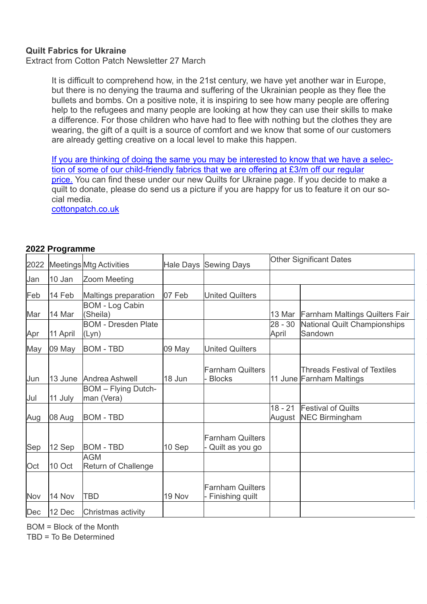#### **Quilt Fabrics for Ukraine**

Extract from Cotton Patch Newsletter 27 March

It is difficult to comprehend how, in the 21st century, we have yet another war in Europe, but there is no denying the trauma and suffering of the Ukrainian people as they flee the bullets and bombs. On a positive note, it is inspiring to see how many people are offering help to the refugees and many people are looking at how they can use their skills to make a difference. For those children who have had to flee with nothing but the clothes they are wearing, the gift of a quilt is a source of comfort and we know that some of our customers are already getting creative on a local level to make this happen.

[If you are thinking of doing the same you may be interested to know that we have a selec](https://cottonpatch.us10.list-manage.com/track/click?u=59b515a0beaf2d96d9ab8b083&id=cdc023aa90&e=e3080015e7)[tion of some of our child-friendly fabrics that we are offering at £3/m off our regular](https://cottonpatch.us10.list-manage.com/track/click?u=59b515a0beaf2d96d9ab8b083&id=cdc023aa90&e=e3080015e7)  [price.](https://cottonpatch.us10.list-manage.com/track/click?u=59b515a0beaf2d96d9ab8b083&id=cdc023aa90&e=e3080015e7) You can find these under our new Quilts for Ukraine page. If you decide to make a quilt to donate, please do send us a picture if you are happy for us to feature it on our social media.

cottonpatch.co.uk

#### **2022 Programme**

| 2022 |          | <b>Meetings Mtg Activities</b>           | <b>Hale Days</b> | <b>Sewing Days</b>                           | <b>Other Significant Dates</b> |                                                                 |
|------|----------|------------------------------------------|------------------|----------------------------------------------|--------------------------------|-----------------------------------------------------------------|
| Jan  | 10 Jan   | Zoom Meeting                             |                  |                                              |                                |                                                                 |
| Feb  | 14 Feb   | Maltings preparation                     | 07 Feb           | <b>United Quilters</b>                       |                                |                                                                 |
| Mar  | 14 Mar   | <b>BOM - Log Cabin</b><br>(Sheila)       |                  |                                              | 13 Mar                         | <b>Farnham Maltings Quilters Fair</b>                           |
| Apr  | 11 April | <b>BOM - Dresden Plate</b><br>(Lyn)      |                  |                                              | $28 - 30$<br>April             | National Quilt Championships<br>Sandown                         |
| May  | 09 May   | <b>BOM - TBD</b>                         | 09 May           | <b>United Quilters</b>                       |                                |                                                                 |
| Jun  | 13 June  | Andrea Ashwell                           | 18 Jun           | <b>Farnham Quilters</b><br>- Blocks          |                                | <b>Threads Festival of Textiles</b><br>11 June Farnham Maltings |
| Jul  | 11 July  | <b>BOM</b> - Flying Dutch-<br>man (Vera) |                  |                                              |                                |                                                                 |
| Aug  | 08 Aug   | <b>BOM - TBD</b>                         |                  |                                              | $18 - 21$<br>August            | <b>Festival of Quilts</b><br><b>NEC Birmingham</b>              |
| Sep  | 12 Sep   | <b>BOM - TBD</b>                         | 10 Sep           | <b>Farnham Quilters</b><br>Quilt as you go   |                                |                                                                 |
| Oct  | 10 Oct   | <b>AGM</b><br><b>Return of Challenge</b> |                  |                                              |                                |                                                                 |
| Nov  | 14 Nov   | <b>TBD</b>                               | 19 Nov           | <b>Farnham Quilters</b><br>- Finishing quilt |                                |                                                                 |
| Dec  | 12 Dec   | Christmas activity                       |                  |                                              |                                |                                                                 |

BOM = Block of the Month

TBD = To Be Determined